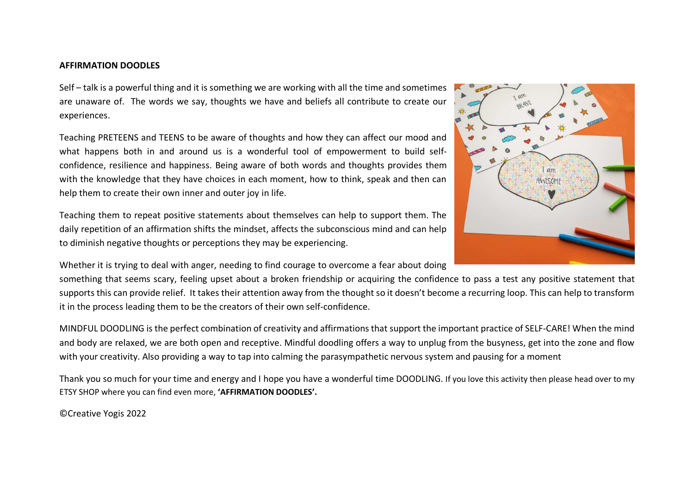## **AFFIRMATION DOODLES**

Self – talk is a powerful thing and it is something we are working with all the time and sometimes are unaware of. The words we say, thoughts we have and beliefs all contribute to create our experiences.

Teaching PRETEENS and TEENS to be aware of thoughts and how they can affect our mood and what happens both in and around us is a wonderful tool of empowerment to build selfconfidence, resilience and happiness. Being aware of both words and thoughts provides them with the knowledge that they have choices in each moment, how to think, speak and then can help them to create their own inner and outer joy in life.

Teaching them to repeat positive statements about themselves can help to support them. The daily repetition of an affirmation shifts the mindset, affects the subconscious mind and can help to diminish negative thoughts or perceptions they may be experiencing.

Whether it is trying to deal with anger, needing to find courage to overcome a fear about doing

something that seems scary, feeling upset about a broken friendship or acquiring the confidence to pass a test any positive statement that supports this can provide relief. It takes their attention away from the thought so it doesn't become a recurring loop. This can help to transform it in the process leading them to be the creators of their own self-confidence.

MINDFUL DOODLING is the perfect combination of creativity and affirmations that support the important practice of SELF-CARE! When the mind and body are relaxed, we are both open and receptive. Mindful doodling offers a way to unplug from the busyness, get into the zone and flow with your creativity. Also providing a way to tap into calming the parasympathetic nervous system and pausing for a moment

Thank you so much for your time and energy and I hope you have a wonderful time DOODLING. If you love this activity then please head over to my ETSY SHOP where you can find even more, **'AFFIRMATION DOODLES'.**

©Creative Yogis 2022